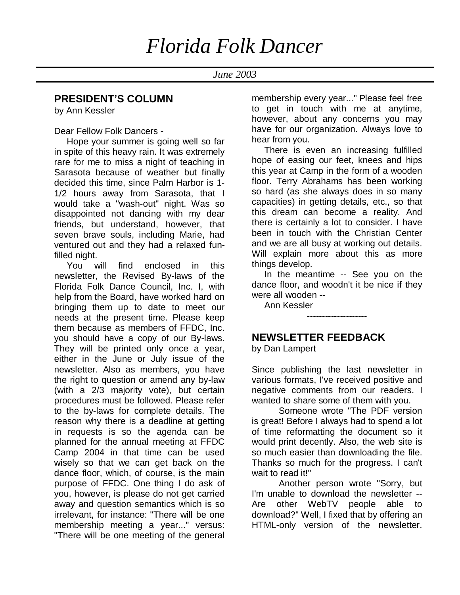*June 2003*

#### **PRESIDENT'S COLUMN**

by Ann Kessler

Dear Fellow Folk Dancers -

 Hope your summer is going well so far in spite of this heavy rain. It was extremely rare for me to miss a night of teaching in Sarasota because of weather but finally decided this time, since Palm Harbor is 1- 1/2 hours away from Sarasota, that I would take a "wash-out" night. Was so disappointed not dancing with my dear friends, but understand, however, that seven brave souls, including Marie, had ventured out and they had a relaxed funfilled night.

 You will find enclosed in this newsletter, the Revised By-laws of the Florida Folk Dance Council, Inc. I, with help from the Board, have worked hard on bringing them up to date to meet our needs at the present time. Please keep them because as members of FFDC, Inc. you should have a copy of our By-laws. They will be printed only once a year, either in the June or July issue of the newsletter. Also as members, you have the right to question or amend any by-law (with a 2/3 majority vote), but certain procedures must be followed. Please refer to the by-laws for complete details. The reason why there is a deadline at getting in requests is so the agenda can be planned for the annual meeting at FFDC Camp 2004 in that time can be used wisely so that we can get back on the dance floor, which, of course, is the main purpose of FFDC. One thing I do ask of you, however, is please do not get carried away and question semantics which is so irrelevant, for instance: "There will be one membership meeting a year..." versus: "There will be one meeting of the general

membership every year..." Please feel free to get in touch with me at anytime, however, about any concerns you may have for our organization. Always love to hear from you.

 There is even an increasing fulfilled hope of easing our feet, knees and hips this year at Camp in the form of a wooden floor. Terry Abrahams has been working so hard (as she always does in so many capacities) in getting details, etc., so that this dream can become a reality. And there is certainly a lot to consider. I have been in touch with the Christian Center and we are all busy at working out details. Will explain more about this as more things develop.

 In the meantime -- See you on the dance floor, and woodn't it be nice if they were all wooden --

--------------------

Ann Kessler

#### **NEWSLETTER FEEDBACK**

by Dan Lampert

Since publishing the last newsletter in various formats, I've received positive and negative comments from our readers. I wanted to share some of them with you.

Someone wrote "The PDF version is great! Before I always had to spend a lot of time reformatting the document so it would print decently. Also, the web site is so much easier than downloading the file. Thanks so much for the progress. I can't wait to read it!"

Another person wrote "Sorry, but I'm unable to download the newsletter -- Are other WebTV people able to download?" Well, I fixed that by offering an HTML-only version of the newsletter.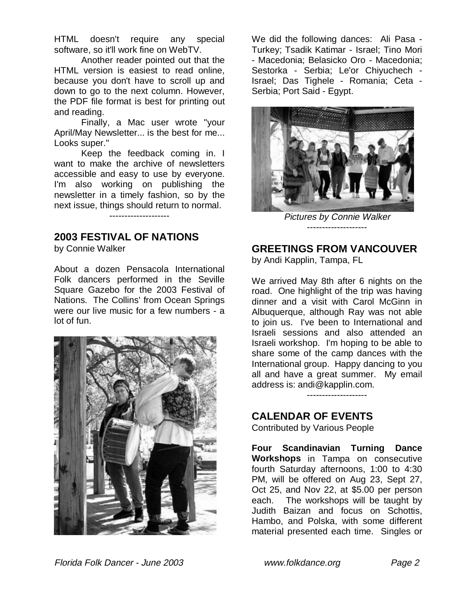HTML doesn't require any special software, so it'll work fine on WebTV.

Another reader pointed out that the HTML version is easiest to read online, because you don't have to scroll up and down to go to the next column. However, the PDF file format is best for printing out and reading.

Finally, a Mac user wrote "your April/May Newsletter... is the best for me... Looks super."

Keep the feedback coming in. I want to make the archive of newsletters accessible and easy to use by everyone. I'm also working on publishing the newsletter in a timely fashion, so by the next issue, things should return to normal.

--------------------

#### **2003 FESTIVAL OF NATIONS**

by Connie Walker

About a dozen Pensacola International Folk dancers performed in the Seville Square Gazebo for the 2003 Festival of Nations. The Collins' from Ocean Springs were our live music for a few numbers - a lot of fun.



We did the following dances: Ali Pasa - Turkey; Tsadik Katimar - Israel; Tino Mori - Macedonia; Belasicko Oro - Macedonia; Sestorka - Serbia; Le'or Chiyuchech - Israel; Das Tighele - Romania; Ceta - Serbia; Port Said - Egypt.



Pictures by Connie Walker --------------------

#### **GREETINGS FROM VANCOUVER**

by Andi Kapplin, Tampa, FL

We arrived May 8th after 6 nights on the road. One highlight of the trip was having dinner and a visit with Carol McGinn in Albuquerque, although Ray was not able to join us. I've been to International and Israeli sessions and also attended an Israeli workshop. I'm hoping to be able to share some of the camp dances with the International group. Happy dancing to you all and have a great summer. My email address is: andi@kapplin.com.

--------------------

#### **CALENDAR OF EVENTS**

Contributed by Various People

**Four Scandinavian Turning Dance Workshops** in Tampa on consecutive fourth Saturday afternoons, 1:00 to 4:30 PM, will be offered on Aug 23, Sept 27, Oct 25, and Nov 22, at \$5.00 per person each. The workshops will be taught by Judith Baizan and focus on Schottis, Hambo, and Polska, with some different material presented each time. Singles or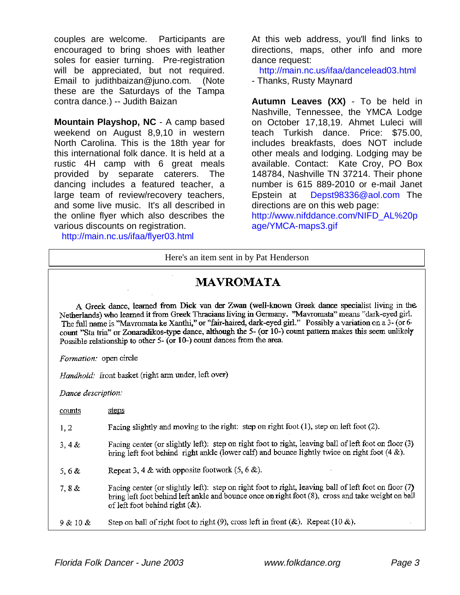couples are welcome. Participants are encouraged to bring shoes with leather soles for easier turning. Pre-registration will be appreciated, but not required. Email to judithbaizan@juno.com. (Note these are the Saturdays of the Tampa contra dance.) -- Judith Baizan

**Mountain Playshop, NC** - A camp based weekend on August 8,9,10 in western North Carolina. This is the 18th year for this international folk dance. It is held at a rustic 4H camp with 6 great meals provided by separate caterers. The dancing includes a featured teacher, a large team of review/recovery teachers, and some live music. It's all described in the online flyer which also describes the various discounts on registration.

http://main.nc.us/ifaa/flyer03.html

At this web address, you'll find links to directions, maps, other info and more dance request:

 http://main.nc.us/ifaa/dancelead03.html - Thanks, Rusty Maynard

**Autumn Leaves (XX)** - To be held in Nashville, Tennessee, the YMCA Lodge on October 17,18,19. Ahmet Luleci will teach Turkish dance. Price: \$75.00, includes breakfasts, does NOT include other meals and lodging. Lodging may be available. Contact: Kate Croy, PO Box 148784, Nashville TN 37214. Their phone number is 615 889-2010 or e-mail Janet Epstein at Depst98336@aol.com The directions are on this web page:

http://www.nifddance.com/NIFD\_AL%20p age/YMCA-maps3.gif

#### Here's an item sent in by Pat Henderson

## **MAVROMATA**

A Greek dance, learned from Dick van der Zwan (well-known Greek dance specialist living in the Netherlands) who learned it from Greek Thracians living in Germany. "Mavromata" means "dark-eyed girl. The full name is "Mavromata ke Xanthi," or "fair-haired, dark-eyed girl." Possibly a variation on a 3- (or 6count "Sta tria" or Zonaradikos-type dance, although the 5- (or 10-) count pattern makes this seem unlikely Possible relationship to other 5- (or 10-) count dances from the area.

Formation: open circle

Handhold: front basket (right arm under, left over)

Dance description:

| counts   | steps                                                                                                                                                                                                                                             |
|----------|---------------------------------------------------------------------------------------------------------------------------------------------------------------------------------------------------------------------------------------------------|
| 1, 2     | Facing slightly and moving to the right: step on right foot $(1)$ , step on left foot $(2)$ .                                                                                                                                                     |
| 3, 4 &   | Facing center (or slightly left): step on right foot to right, leaving ball of left foot on floor (3)<br>bring left foot behind right ankle (lower calf) and bounce lightly twice on right foot $(4 \⊂>)$ .                                       |
| 5,6 $\&$ | Repeat 3, 4 & with opposite footwork $(5, 6 \&)$ .                                                                                                                                                                                                |
| 7,8 &    | Facing center (or slightly left): step on right foot to right, leaving ball of left foot on floor (7)<br>bring left foot behind left ankle and bounce once on right foot (8), cross and take weight on ball<br>of left foot behind right $(\&)$ . |
| 9 & 10 & | Step on ball of right foot to right (9), cross left in front (&). Repeat (10 &).                                                                                                                                                                  |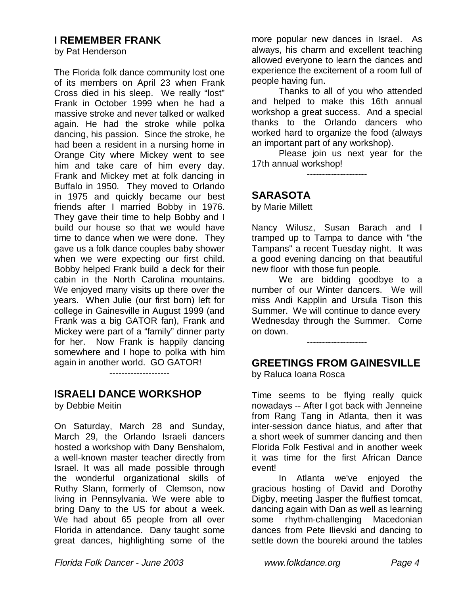#### **I REMEMBER FRANK**

by Pat Henderson

The Florida folk dance community lost one of its members on April 23 when Frank Cross died in his sleep. We really "lost" Frank in October 1999 when he had a massive stroke and never talked or walked again. He had the stroke while polka dancing, his passion. Since the stroke, he had been a resident in a nursing home in Orange City where Mickey went to see him and take care of him every day. Frank and Mickey met at folk dancing in Buffalo in 1950. They moved to Orlando in 1975 and quickly became our best friends after I married Bobby in 1976. They gave their time to help Bobby and I build our house so that we would have time to dance when we were done. They gave us a folk dance couples baby shower when we were expecting our first child. Bobby helped Frank build a deck for their cabin in the North Carolina mountains. We enjoyed many visits up there over the years. When Julie (our first born) left for college in Gainesville in August 1999 (and Frank was a big GATOR fan), Frank and Mickey were part of a "family" dinner party for her. Now Frank is happily dancing somewhere and I hope to polka with him again in another world. GO GATOR!

**ISRAELI DANCE WORKSHOP**

--------------------

by Debbie Meitin

On Saturday, March 28 and Sunday, March 29, the Orlando Israeli dancers hosted a workshop with Dany Benshalom, a well-known master teacher directly from Israel. It was all made possible through the wonderful organizational skills of Ruthy Slann, formerly of Clemson, now living in Pennsylvania. We were able to bring Dany to the US for about a week. We had about 65 people from all over Florida in attendance. Dany taught some great dances, highlighting some of the more popular new dances in Israel. As always, his charm and excellent teaching allowed everyone to learn the dances and experience the excitement of a room full of people having fun.

Thanks to all of you who attended and helped to make this 16th annual workshop a great success. And a special thanks to the Orlando dancers who worked hard to organize the food (always an important part of any workshop).

Please join us next year for the 17th annual workshop!

--------------------

#### **SARASOTA**

by Marie Millett

Nancy Wilusz, Susan Barach and I tramped up to Tampa to dance with "the Tampans" a recent Tuesday night. It was a good evening dancing on that beautiful new floor with those fun people.

We are bidding goodbye to a number of our Winter dancers. We will miss Andi Kapplin and Ursula Tison this Summer. We will continue to dance every Wednesday through the Summer. Come on down.

--------------------

## **GREETINGS FROM GAINESVILLE**

by Raluca Ioana Rosca

Time seems to be flying really quick nowadays -- After I got back with Jenneine from Rang Tang in Atlanta, then it was inter-session dance hiatus, and after that a short week of summer dancing and then Florida Folk Festival and in another week it was time for the first African Dance event!

In Atlanta we've enjoyed the gracious hosting of David and Dorothy Digby, meeting Jasper the fluffiest tomcat, dancing again with Dan as well as learning some rhythm-challenging Macedonian dances from Pete Ilievski and dancing to settle down the boureki around the tables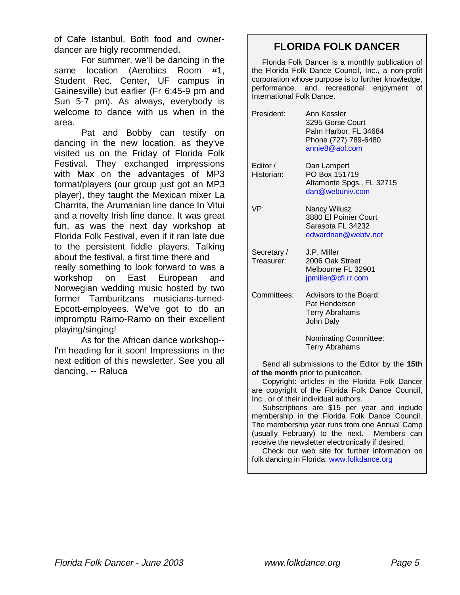of Cafe Istanbul. Both food and ownerdancer are higly recommended.

For summer, we'll be dancing in the same location (Aerobics Room #1, Student Rec. Center, UF campus in Gainesville) but earlier (Fr 6:45-9 pm and Sun 5-7 pm). As always, everybody is welcome to dance with us when in the area.

Pat and Bobby can testify on dancing in the new location, as they've visited us on the Friday of Florida Folk Festival. They exchanged impressions with Max on the advantages of MP3 format/players (our group just got an MP3 player), they taught the Mexican mixer La Charrita, the Arumanian line dance In Vitui and a novelty Irish line dance. It was great fun, as was the next day workshop at Florida Folk Festival, even if it ran late due to the persistent fiddle players. Talking about the festival, a first time there and really something to look forward to was a workshop on East European and Norwegian wedding music hosted by two former Tamburitzans musicians-turned-Epcott-employees. We've got to do an impromptu Ramo-Ramo on their excellent playing/singing!

As for the African dance workshop-- I'm heading for it soon! Impressions in the next edition of this newsletter. See you all dancing, -- Raluca

## **FLORIDA FOLK DANCER**

 Florida Folk Dancer is a monthly publication of the Florida Folk Dance Council, Inc., a non-profit corporation whose purpose is to further knowledge, performance, and recreational enjoyment of International Folk Dance.

| President:                | Ann Kessler<br>3295 Gorse Court<br>Palm Harbor, FL 34684<br>Phone (727) 789-6480<br>annie8@aol.com |
|---------------------------|----------------------------------------------------------------------------------------------------|
| Editor /<br>Historian:    | Dan Lampert<br>PO Box 151719<br>Altamonte Spgs., FL 32715<br>dan@webuniv.com                       |
| VP:                       | Nancy Wilusz<br>3880 El Poinier Court<br>Sarasota FL 34232<br>edwardnan@webty.net                  |
| Secretary /<br>Treasurer: | J.P. Miller<br>2006 Oak Street<br>Melbourne FL 32901<br>jpmiller@cfl.rr.com                        |
| Committees:               | Advisors to the Board:<br>Pat Henderson<br><b>Terry Abrahams</b><br>John Daly                      |
|                           | Nominating Committee:<br><b>Terry Abrahams</b>                                                     |

 Send all submissions to the Editor by the **15th of the month** prior to publication.

 Copyright: articles in the Florida Folk Dancer are copyright of the Florida Folk Dance Council, Inc., or of their individual authors.

 Subscriptions are \$15 per year and include membership in the Florida Folk Dance Council. The membership year runs from one Annual Camp (usually February) to the next. Members can receive the newsletter electronically if desired.

 Check our web site for further information on folk dancing in Florida: www.folkdance.org